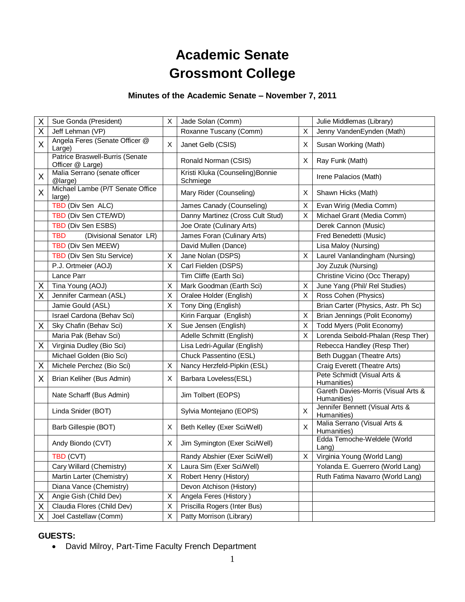# **Academic Senate Grossmont College**

## **Minutes of the Academic Senate – November 7, 2011**

| Χ | Sue Gonda (President)                               | X | Jade Solan (Comm)                            |              | Julie Middlemas (Library)                          |
|---|-----------------------------------------------------|---|----------------------------------------------|--------------|----------------------------------------------------|
| Χ | Jeff Lehman (VP)                                    |   | Roxanne Tuscany (Comm)                       | X            | Jenny VandenEynden (Math)                          |
| X | Angela Feres (Senate Officer @<br>Large)            | X | Janet Gelb (CSIS)                            | X            | Susan Working (Math)                               |
|   | Patrice Braswell-Burris (Senate<br>Officer @ Large) |   | Ronald Norman (CSIS)                         | X            | Ray Funk (Math)                                    |
| X | Malia Serrano (senate officer<br>@large)            |   | Kristi Kluka (Counseling) Bonnie<br>Schmiege |              | Irene Palacios (Math)                              |
| X | Michael Lambe (P/T Senate Office<br>large)          |   | Mary Rider (Counseling)                      | X            | Shawn Hicks (Math)                                 |
|   | TBD (Div Sen ALC)                                   |   | James Canady (Counseling)                    | X            | Evan Wirig (Media Comm)                            |
|   | TBD (Div Sen CTE/WD)                                |   | Danny Martinez (Cross Cult Stud)             | X.           | Michael Grant (Media Comm)                         |
|   | TBD (Div Sen ESBS)                                  |   | Joe Orate (Culinary Arts)                    |              | Derek Cannon (Music)                               |
|   | <b>TBD</b><br>(Divisional Senator LR)               |   | James Foran (Culinary Arts)                  |              | Fred Benedetti (Music)                             |
|   | TBD (Div Sen MEEW)                                  |   | David Mullen (Dance)                         |              | Lisa Maloy (Nursing)                               |
|   | TBD (Div Sen Stu Service)                           | Χ | Jane Nolan (DSPS)                            | X            | Laurel Vanlandingham (Nursing)                     |
|   | P.J. Ortmeier (AOJ)                                 | X | Carl Fielden (DSPS)                          |              | Joy Zuzuk (Nursing)                                |
|   | Lance Parr                                          |   | Tim Cliffe (Earth Sci)                       |              | Christine Vicino (Occ Therapy)                     |
| Χ | Tina Young (AOJ)                                    | X | Mark Goodman (Earth Sci)                     | Χ            | June Yang (Phil/ Rel Studies)                      |
| Χ | Jennifer Carmean (ASL)                              | X | Oralee Holder (English)                      | X            | Ross Cohen (Physics)                               |
|   | Jamie Gould (ASL)                                   | X | Tony Ding (English)                          |              | Brian Carter (Physics, Astr. Ph Sc)                |
|   | Israel Cardona (Behav Sci)                          |   | Kirin Farquar (English)                      | X            | Brian Jennings (Polit Economy)                     |
| Χ | Sky Chafin (Behav Sci)                              | X | Sue Jensen (English)                         | X            | Todd Myers (Polit Economy)                         |
|   | Maria Pak (Behav Sci)                               |   | Adelle Schmitt (English)                     | X            | Lorenda Seibold-Phalan (Resp Ther)                 |
| X | Virginia Dudley (Bio Sci)                           |   | Lisa Ledri-Aguilar (English)                 |              | Rebecca Handley (Resp Ther)                        |
|   | Michael Golden (Bio Sci)                            |   | Chuck Passentino (ESL)                       |              | Beth Duggan (Theatre Arts)                         |
| X | Michele Perchez (Bio Sci)                           | X | Nancy Herzfeld-Pipkin (ESL)                  |              | Craig Everett (Theatre Arts)                       |
| X | Brian Keliher (Bus Admin)                           | X | Barbara Loveless(ESL)                        |              | Pete Schmidt (Visual Arts &<br>Humanities)         |
|   | Nate Scharff (Bus Admin)                            |   | Jim Tolbert (EOPS)                           |              | Gareth Davies-Morris (Visual Arts &<br>Humanities) |
|   | Linda Snider (BOT)                                  |   | Sylvia Montejano (EOPS)                      | X            | Jennifer Bennett (Visual Arts &<br>Humanities)     |
|   | Barb Gillespie (BOT)                                | X | Beth Kelley (Exer Sci/Well)                  | $\mathsf{X}$ | Malia Serrano (Visual Arts &<br>Humanities)        |
|   | Andy Biondo (CVT)                                   | Χ | Jim Symington (Exer Sci/Well)                |              | Edda Temoche-Weldele (World<br>Lang)               |
|   | TBD (CVT)                                           |   | Randy Abshier (Exer Sci/Well)                | $\sf X$      | Virginia Young (World Lang)                        |
|   | Cary Willard (Chemistry)                            | X | Laura Sim (Exer Sci/Well)                    |              | Yolanda E. Guerrero (World Lang)                   |
|   | Martin Larter (Chemistry)                           | X | Robert Henry (History)                       |              | Ruth Fatima Navarro (World Lang)                   |
|   | Diana Vance (Chemistry)                             |   | Devon Atchison (History)                     |              |                                                    |
| X | Angie Gish (Child Dev)                              | X | Angela Feres (History)                       |              |                                                    |
| Χ | Claudia Flores (Child Dev)                          | X | Priscilla Rogers (Inter Bus)                 |              |                                                    |
| Χ | Joel Castellaw (Comm)                               | X | Patty Morrison (Library)                     |              |                                                    |

### **GUESTS:**

David Milroy, Part-Time Faculty French Department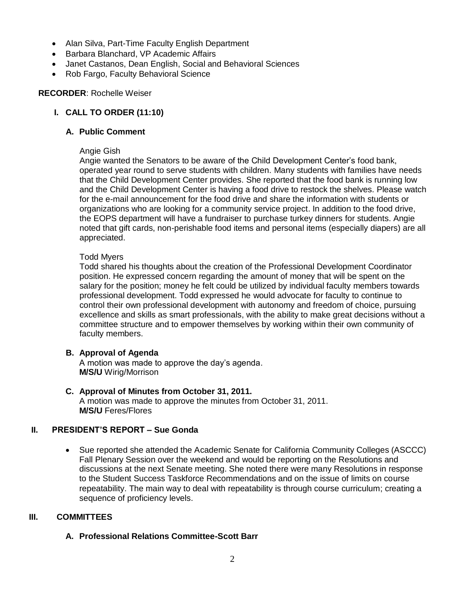- Alan Silva, Part-Time Faculty English Department
- Barbara Blanchard, VP Academic Affairs
- Janet Castanos, Dean English, Social and Behavioral Sciences
- Rob Fargo, Faculty Behavioral Science

#### **RECORDER**: Rochelle Weiser

### **I. CALL TO ORDER (11:10)**

#### **A. Public Comment**

#### Angie Gish

Angie wanted the Senators to be aware of the Child Development Center's food bank, operated year round to serve students with children. Many students with families have needs that the Child Development Center provides. She reported that the food bank is running low and the Child Development Center is having a food drive to restock the shelves. Please watch for the e-mail announcement for the food drive and share the information with students or organizations who are looking for a community service project. In addition to the food drive, the EOPS department will have a fundraiser to purchase turkey dinners for students. Angie noted that gift cards, non-perishable food items and personal items (especially diapers) are all appreciated.

#### Todd Myers

Todd shared his thoughts about the creation of the Professional Development Coordinator position. He expressed concern regarding the amount of money that will be spent on the salary for the position; money he felt could be utilized by individual faculty members towards professional development. Todd expressed he would advocate for faculty to continue to control their own professional development with autonomy and freedom of choice, pursuing excellence and skills as smart professionals, with the ability to make great decisions without a committee structure and to empower themselves by working within their own community of faculty members.

#### **B. Approval of Agenda**

A motion was made to approve the day's agenda. **M/S/U** Wirig/Morrison

**C. Approval of Minutes from October 31, 2011.** A motion was made to approve the minutes from October 31, 2011. **M/S/U** Feres/Flores

#### **II. PRESIDENT'S REPORT – Sue Gonda**

 Sue reported she attended the Academic Senate for California Community Colleges (ASCCC) Fall Plenary Session over the weekend and would be reporting on the Resolutions and discussions at the next Senate meeting. She noted there were many Resolutions in response to the Student Success Taskforce Recommendations and on the issue of limits on course repeatability. The main way to deal with repeatability is through course curriculum; creating a sequence of proficiency levels.

#### **III. COMMITTEES**

#### **A. Professional Relations Committee-Scott Barr**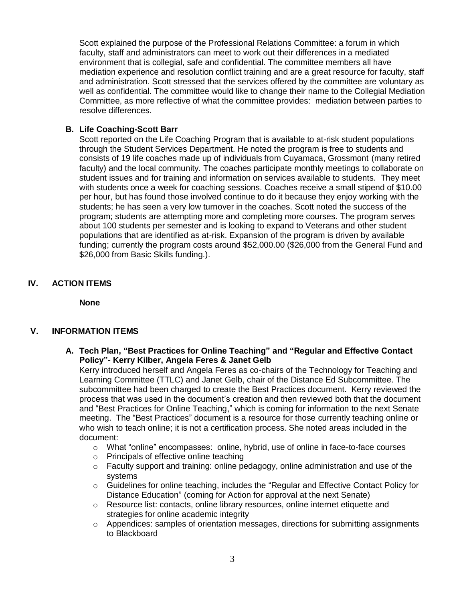Scott explained the purpose of the Professional Relations Committee: a forum in which faculty, staff and administrators can meet to work out their differences in a mediated environment that is collegial, safe and confidential. The committee members all have mediation experience and resolution conflict training and are a great resource for faculty, staff and administration. Scott stressed that the services offered by the committee are voluntary as well as confidential. The committee would like to change their name to the Collegial Mediation Committee, as more reflective of what the committee provides: mediation between parties to resolve differences.

#### **B. Life Coaching-Scott Barr**

Scott reported on the Life Coaching Program that is available to at-risk student populations through the Student Services Department. He noted the program is free to students and consists of 19 life coaches made up of individuals from Cuyamaca, Grossmont (many retired faculty) and the local community. The coaches participate monthly meetings to collaborate on student issues and for training and information on services available to students. They meet with students once a week for coaching sessions. Coaches receive a small stipend of \$10.00 per hour, but has found those involved continue to do it because they enjoy working with the students; he has seen a very low turnover in the coaches. Scott noted the success of the program; students are attempting more and completing more courses. The program serves about 100 students per semester and is looking to expand to Veterans and other student populations that are identified as at-risk. Expansion of the program is driven by available funding; currently the program costs around \$52,000.00 (\$26,000 from the General Fund and \$26,000 from Basic Skills funding.).

#### **IV. ACTION ITEMS**

**None**

#### **V. INFORMATION ITEMS**

**A. Tech Plan, "Best Practices for Online Teaching" and "Regular and Effective Contact Policy"- Kerry Kilber, Angela Feres & Janet Gelb**

Kerry introduced herself and Angela Feres as co-chairs of the Technology for Teaching and Learning Committee (TTLC) and Janet Gelb, chair of the Distance Ed Subcommittee. The subcommittee had been charged to create the Best Practices document. Kerry reviewed the process that was used in the document's creation and then reviewed both that the document and "Best Practices for Online Teaching," which is coming for information to the next Senate meeting. The "Best Practices" document is a resource for those currently teaching online or who wish to teach online; it is not a certification process. She noted areas included in the document:

- $\circ$  What "online" encompasses: online, hybrid, use of online in face-to-face courses
- o Principals of effective online teaching
- $\circ$  Faculty support and training: online pedagogy, online administration and use of the systems
- $\circ$  Guidelines for online teaching, includes the "Regular and Effective Contact Policy for Distance Education" (coming for Action for approval at the next Senate)
- $\circ$  Resource list: contacts, online library resources, online internet etiquette and strategies for online academic integrity
- $\circ$  Appendices: samples of orientation messages, directions for submitting assignments to Blackboard